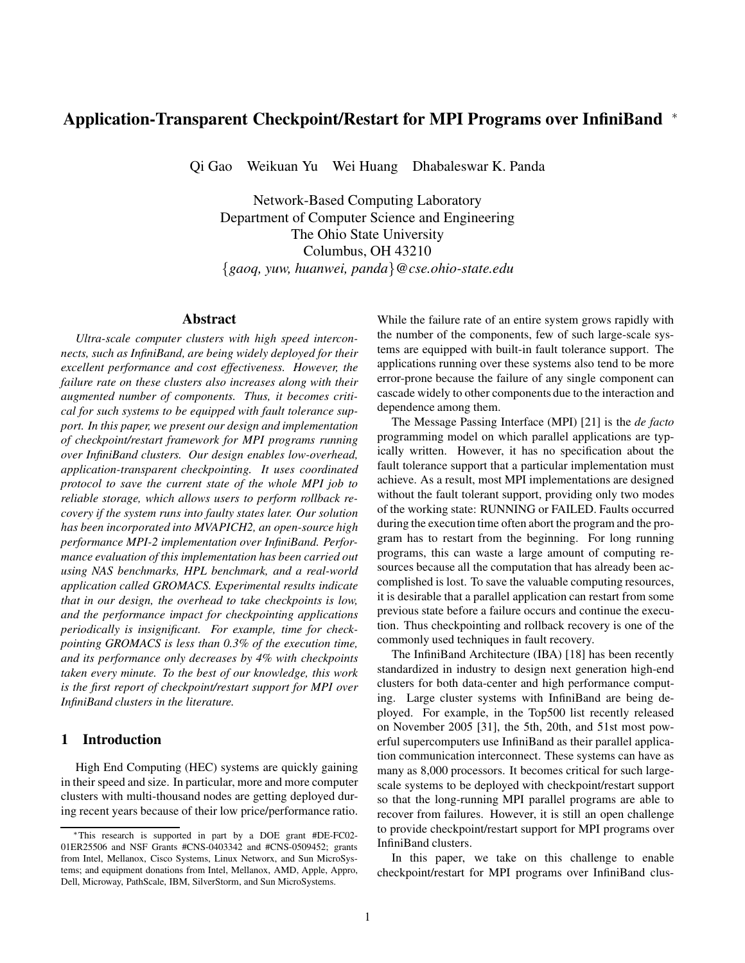# **Application-Transparent Checkpoint/Restart for MPI Programs over InfiniBand** <sup>∗</sup>

Qi Gao Weikuan Yu Wei Huang Dhabaleswar K. Panda

Network-Based Computing Laboratory Department of Computer Science and Engineering The Ohio State University Columbus, OH 43210 {*gaoq, yuw, huanwei, panda*}*@cse.ohio-state.edu*

## **Abstract**

*Ultra-scale computer clusters with high speed interconnects, such as InfiniBand, are being widely deployed for their excellent performance and cost effectiveness. However, the failure rate on these clusters also increases along with their augmented number of components. Thus, it becomes critical for such systems to be equipped with fault tolerance support. In this paper, we present our design and implementation of checkpoint/restart framework for MPI programs running over InfiniBand clusters. Our design enables low-overhead, application-transparent checkpointing. It uses coordinated protocol to save the current state of the whole MPI job to reliable storage, which allows users to perform rollback recovery if the system runs into faulty states later. Our solution has been incorporated into MVAPICH2, an open-source high performance MPI-2 implementation over InfiniBand. Performance evaluation of this implementation has been carried out using NAS benchmarks, HPL benchmark, and a real-world application called GROMACS. Experimental results indicate that in our design, the overhead to take checkpoints is low, and the performance impact for checkpointing applications periodically is insignificant. For example, time for checkpointing GROMACS is less than 0.3% of the execution time, and its performance only decreases by 4% with checkpoints taken every minute. To the best of our knowledge, this work is the first report of checkpoint/restart support for MPI over InfiniBand clusters in the literature.*

## **1 Introduction**

High End Computing (HEC) systems are quickly gaining in their speed and size. In particular, more and more computer clusters with multi-thousand nodes are getting deployed during recent years because of their low price/performance ratio. While the failure rate of an entire system grows rapidly with the number of the components, few of such large-scale systems are equipped with built-in fault tolerance support. The applications running over these systems also tend to be more error-prone because the failure of any single component can cascade widely to other components due to the interaction and dependence among them.

The Message Passing Interface (MPI) [21] is the *de facto* programming model on which parallel applications are typically written. However, it has no specification about the fault tolerance support that a particular implementation must achieve. As a result, most MPI implementations are designed without the fault tolerant support, providing only two modes of the working state: RUNNING or FAILED. Faults occurred during the execution time often abort the program and the program has to restart from the beginning. For long running programs, this can waste a large amount of computing resources because all the computation that has already been accomplished is lost. To save the valuable computing resources, it is desirable that a parallel application can restart from some previous state before a failure occurs and continue the execution. Thus checkpointing and rollback recovery is one of the commonly used techniques in fault recovery.

The InfiniBand Architecture (IBA) [18] has been recently standardized in industry to design next generation high-end clusters for both data-center and high performance computing. Large cluster systems with InfiniBand are being deployed. For example, in the Top500 list recently released on November 2005 [31], the 5th, 20th, and 51st most powerful supercomputers use InfiniBand as their parallel application communication interconnect. These systems can have as many as 8,000 processors. It becomes critical for such largescale systems to be deployed with checkpoint/restart support so that the long-running MPI parallel programs are able to recover from failures. However, it is still an open challenge to provide checkpoint/restart support for MPI programs over InfiniBand clusters.

In this paper, we take on this challenge to enable checkpoint/restart for MPI programs over InfiniBand clus-

<sup>∗</sup>This research is supported in part by a DOE grant #DE-FC02- 01ER25506 and NSF Grants #CNS-0403342 and #CNS-0509452; grants from Intel, Mellanox, Cisco Systems, Linux Networx, and Sun MicroSystems; and equipment donations from Intel, Mellanox, AMD, Apple, Appro, Dell, Microway, PathScale, IBM, SilverStorm, and Sun MicroSystems.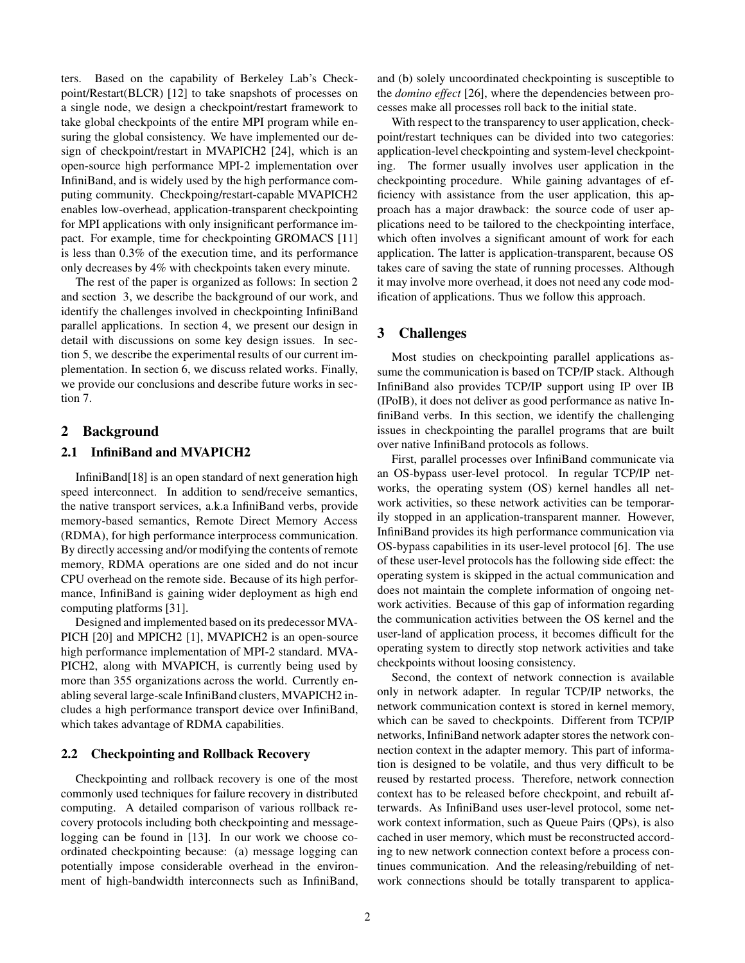ters. Based on the capability of Berkeley Lab's Checkpoint/Restart(BLCR) [12] to take snapshots of processes on a single node, we design a checkpoint/restart framework to take global checkpoints of the entire MPI program while ensuring the global consistency. We have implemented our design of checkpoint/restart in MVAPICH2 [24], which is an open-source high performance MPI-2 implementation over InfiniBand, and is widely used by the high performance computing community. Checkpoing/restart-capable MVAPICH2 enables low-overhead, application-transparent checkpointing for MPI applications with only insignificant performance impact. For example, time for checkpointing GROMACS [11] is less than 0.3% of the execution time, and its performance only decreases by 4% with checkpoints taken every minute.

The rest of the paper is organized as follows: In section 2 and section 3, we describe the background of our work, and identify the challenges involved in checkpointing InfiniBand parallel applications. In section 4, we present our design in detail with discussions on some key design issues. In section 5, we describe the experimental results of our current implementation. In section 6, we discuss related works. Finally, we provide our conclusions and describe future works in section 7.

## **2 Background**

#### **2.1 InfiniBand and MVAPICH2**

InfiniBand[18] is an open standard of next generation high speed interconnect. In addition to send/receive semantics, the native transport services, a.k.a InfiniBand verbs, provide memory-based semantics, Remote Direct Memory Access (RDMA), for high performance interprocess communication. By directly accessing and/or modifying the contents of remote memory, RDMA operations are one sided and do not incur CPU overhead on the remote side. Because of its high performance, InfiniBand is gaining wider deployment as high end computing platforms [31].

Designed and implemented based on its predecessor MVA-PICH [20] and MPICH2 [1], MVAPICH2 is an open-source high performance implementation of MPI-2 standard. MVA-PICH2, along with MVAPICH, is currently being used by more than 355 organizations across the world. Currently enabling several large-scale InfiniBand clusters, MVAPICH2 includes a high performance transport device over InfiniBand, which takes advantage of RDMA capabilities.

## **2.2 Checkpointing and Rollback Recovery**

Checkpointing and rollback recovery is one of the most commonly used techniques for failure recovery in distributed computing. A detailed comparison of various rollback recovery protocols including both checkpointing and messagelogging can be found in [13]. In our work we choose coordinated checkpointing because: (a) message logging can potentially impose considerable overhead in the environment of high-bandwidth interconnects such as InfiniBand, and (b) solely uncoordinated checkpointing is susceptible to the *domino effect* [26], where the dependencies between processes make all processes roll back to the initial state.

With respect to the transparency to user application, checkpoint/restart techniques can be divided into two categories: application-level checkpointing and system-level checkpointing. The former usually involves user application in the checkpointing procedure. While gaining advantages of efficiency with assistance from the user application, this approach has a major drawback: the source code of user applications need to be tailored to the checkpointing interface, which often involves a significant amount of work for each application. The latter is application-transparent, because OS takes care of saving the state of running processes. Although it may involve more overhead, it does not need any code modification of applications. Thus we follow this approach.

## **3 Challenges**

Most studies on checkpointing parallel applications assume the communication is based on TCP/IP stack. Although InfiniBand also provides TCP/IP support using IP over IB (IPoIB), it does not deliver as good performance as native InfiniBand verbs. In this section, we identify the challenging issues in checkpointing the parallel programs that are built over native InfiniBand protocols as follows.

First, parallel processes over InfiniBand communicate via an OS-bypass user-level protocol. In regular TCP/IP networks, the operating system (OS) kernel handles all network activities, so these network activities can be temporarily stopped in an application-transparent manner. However, InfiniBand provides its high performance communication via OS-bypass capabilities in its user-level protocol [6]. The use of these user-level protocols has the following side effect: the operating system is skipped in the actual communication and does not maintain the complete information of ongoing network activities. Because of this gap of information regarding the communication activities between the OS kernel and the user-land of application process, it becomes difficult for the operating system to directly stop network activities and take checkpoints without loosing consistency.

Second, the context of network connection is available only in network adapter. In regular TCP/IP networks, the network communication context is stored in kernel memory, which can be saved to checkpoints. Different from TCP/IP networks, InfiniBand network adapter stores the network connection context in the adapter memory. This part of information is designed to be volatile, and thus very difficult to be reused by restarted process. Therefore, network connection context has to be released before checkpoint, and rebuilt afterwards. As InfiniBand uses user-level protocol, some network context information, such as Queue Pairs (QPs), is also cached in user memory, which must be reconstructed according to new network connection context before a process continues communication. And the releasing/rebuilding of network connections should be totally transparent to applica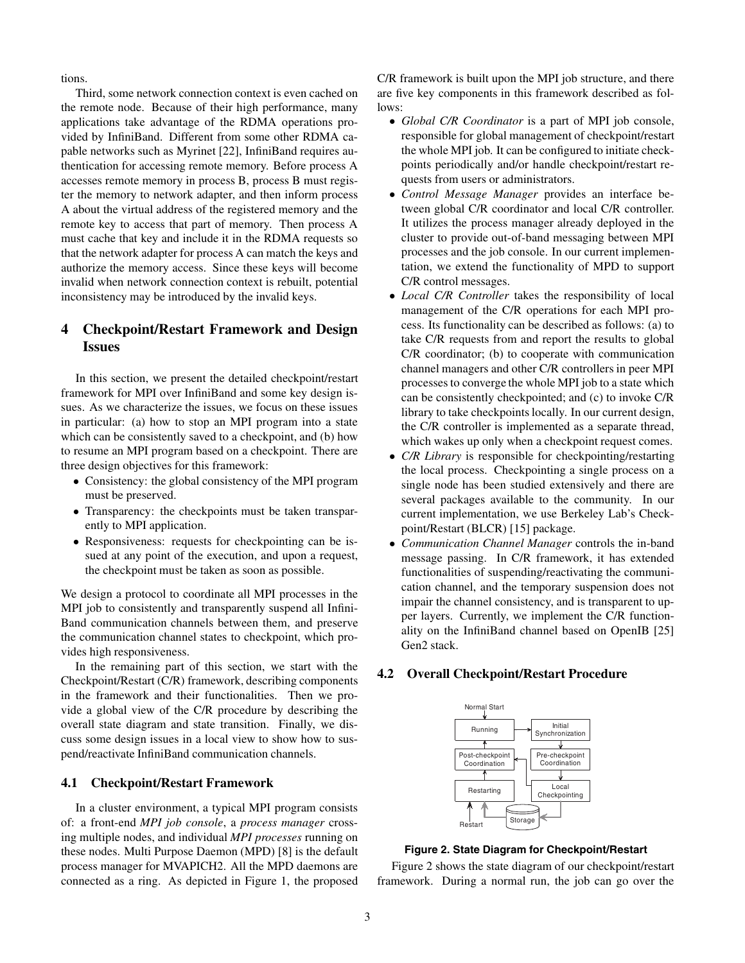tions.

Third, some network connection context is even cached on the remote node. Because of their high performance, many applications take advantage of the RDMA operations provided by InfiniBand. Different from some other RDMA capable networks such as Myrinet [22], InfiniBand requires authentication for accessing remote memory. Before process A accesses remote memory in process B, process B must register the memory to network adapter, and then inform process A about the virtual address of the registered memory and the remote key to access that part of memory. Then process A must cache that key and include it in the RDMA requests so that the network adapter for process A can match the keys and authorize the memory access. Since these keys will become invalid when network connection context is rebuilt, potential inconsistency may be introduced by the invalid keys.

## **4 Checkpoint/Restart Framework and Design Issues**

In this section, we present the detailed checkpoint/restart framework for MPI over InfiniBand and some key design issues. As we characterize the issues, we focus on these issues in particular: (a) how to stop an MPI program into a state which can be consistently saved to a checkpoint, and (b) how to resume an MPI program based on a checkpoint. There are three design objectives for this framework:

- Consistency: the global consistency of the MPI program must be preserved.
- Transparency: the checkpoints must be taken transparently to MPI application.
- Responsiveness: requests for checkpointing can be issued at any point of the execution, and upon a request, the checkpoint must be taken as soon as possible.

We design a protocol to coordinate all MPI processes in the MPI job to consistently and transparently suspend all Infini-Band communication channels between them, and preserve the communication channel states to checkpoint, which provides high responsiveness.

In the remaining part of this section, we start with the Checkpoint/Restart (C/R) framework, describing components in the framework and their functionalities. Then we provide a global view of the C/R procedure by describing the overall state diagram and state transition. Finally, we discuss some design issues in a local view to show how to suspend/reactivate InfiniBand communication channels.

## **4.1 Checkpoint/Restart Framework**

In a cluster environment, a typical MPI program consists of: a front-end *MPI job console*, a *process manager* crossing multiple nodes, and individual *MPI processes* running on these nodes. Multi Purpose Daemon (MPD) [8] is the default process manager for MVAPICH2. All the MPD daemons are connected as a ring. As depicted in Figure 1, the proposed C/R framework is built upon the MPI job structure, and there are five key components in this framework described as follows:

- *Global C/R Coordinator* is a part of MPI job console, responsible for global management of checkpoint/restart the whole MPI job. It can be configured to initiate checkpoints periodically and/or handle checkpoint/restart requests from users or administrators.
- *Control Message Manager* provides an interface between global C/R coordinator and local C/R controller. It utilizes the process manager already deployed in the cluster to provide out-of-band messaging between MPI processes and the job console. In our current implementation, we extend the functionality of MPD to support C/R control messages.
- *Local C/R Controller* takes the responsibility of local management of the C/R operations for each MPI process. Its functionality can be described as follows: (a) to take C/R requests from and report the results to global C/R coordinator; (b) to cooperate with communication channel managers and other C/R controllers in peer MPI processes to converge the whole MPI job to a state which can be consistently checkpointed; and (c) to invoke C/R library to take checkpoints locally. In our current design, the C/R controller is implemented as a separate thread, which wakes up only when a checkpoint request comes.
- *C/R Library* is responsible for checkpointing/restarting the local process. Checkpointing a single process on a single node has been studied extensively and there are several packages available to the community. In our current implementation, we use Berkeley Lab's Checkpoint/Restart (BLCR) [15] package.
- *Communication Channel Manager* controls the in-band message passing. In C/R framework, it has extended functionalities of suspending/reactivating the communication channel, and the temporary suspension does not impair the channel consistency, and is transparent to upper layers. Currently, we implement the C/R functionality on the InfiniBand channel based on OpenIB [25] Gen2 stack.

#### **4.2 Overall Checkpoint/Restart Procedure**



**Figure 2. State Diagram for Checkpoint/Restart**

Figure 2 shows the state diagram of our checkpoint/restart framework. During a normal run, the job can go over the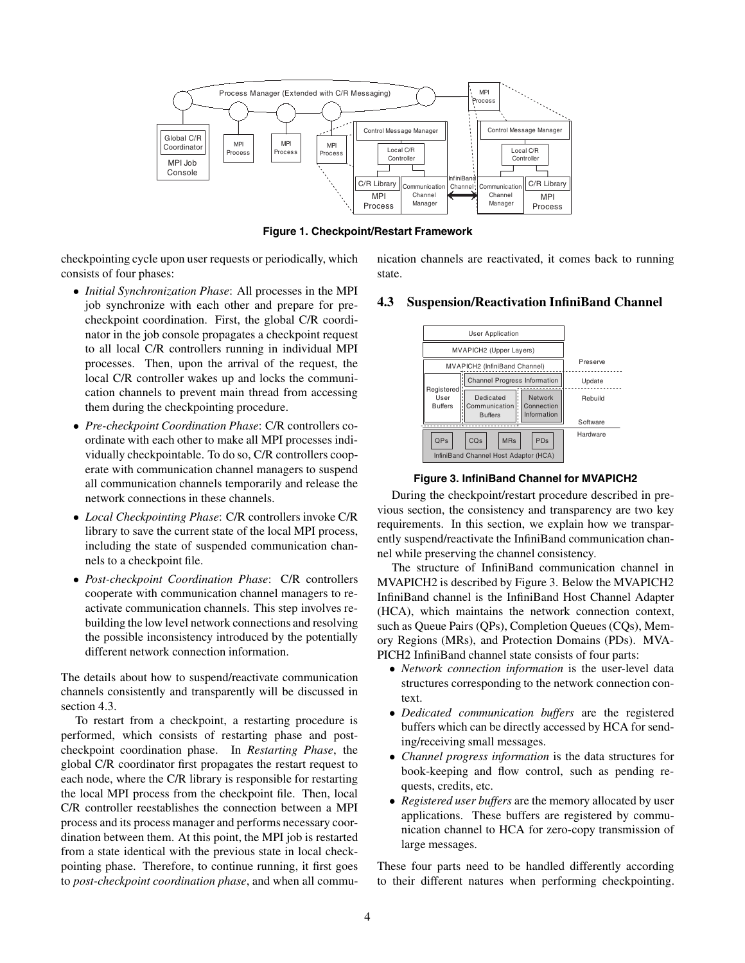

**Figure 1. Checkpoint/Restart Framework**

checkpointing cycle upon user requests or periodically, which consists of four phases:

- *Initial Synchronization Phase*: All processes in the MPI job synchronize with each other and prepare for precheckpoint coordination. First, the global C/R coordinator in the job console propagates a checkpoint request to all local C/R controllers running in individual MPI processes. Then, upon the arrival of the request, the local C/R controller wakes up and locks the communication channels to prevent main thread from accessing them during the checkpointing procedure.
- *Pre-checkpoint Coordination Phase*: C/R controllers coordinate with each other to make all MPI processes individually checkpointable. To do so, C/R controllers cooperate with communication channel managers to suspend all communication channels temporarily and release the network connections in these channels.
- *Local Checkpointing Phase*: C/R controllers invoke C/R library to save the current state of the local MPI process, including the state of suspended communication channels to a checkpoint file.
- *Post-checkpoint Coordination Phase*: C/R controllers cooperate with communication channel managers to reactivate communication channels. This step involves rebuilding the low level network connections and resolving the possible inconsistency introduced by the potentially different network connection information.

The details about how to suspend/reactivate communication channels consistently and transparently will be discussed in section 4.3.

To restart from a checkpoint, a restarting procedure is performed, which consists of restarting phase and postcheckpoint coordination phase. In *Restarting Phase*, the global C/R coordinator first propagates the restart request to each node, where the C/R library is responsible for restarting the local MPI process from the checkpoint file. Then, local C/R controller reestablishes the connection between a MPI process and its process manager and performs necessary coordination between them. At this point, the MPI job is restarted from a state identical with the previous state in local checkpointing phase. Therefore, to continue running, it first goes to *post-checkpoint coordination phase*, and when all communication channels are reactivated, it comes back to running state.

#### **4.3 Suspension/Reactivation InfiniBand Channel**



**Figure 3. InfiniBand Channel for MVAPICH2**

During the checkpoint/restart procedure described in previous section, the consistency and transparency are two key requirements. In this section, we explain how we transparently suspend/reactivate the InfiniBand communication channel while preserving the channel consistency.

The structure of InfiniBand communication channel in MVAPICH2 is described by Figure 3. Below the MVAPICH2 InfiniBand channel is the InfiniBand Host Channel Adapter (HCA), which maintains the network connection context, such as Queue Pairs (QPs), Completion Queues (CQs), Memory Regions (MRs), and Protection Domains (PDs). MVA-PICH2 InfiniBand channel state consists of four parts:

- *Network connection information* is the user-level data structures corresponding to the network connection context.
- *Dedicated communication buffers* are the registered buffers which can be directly accessed by HCA for sending/receiving small messages.
- *Channel progress information* is the data structures for book-keeping and flow control, such as pending requests, credits, etc.
- *Registered user buffers* are the memory allocated by user applications. These buffers are registered by communication channel to HCA for zero-copy transmission of large messages.

These four parts need to be handled differently according to their different natures when performing checkpointing.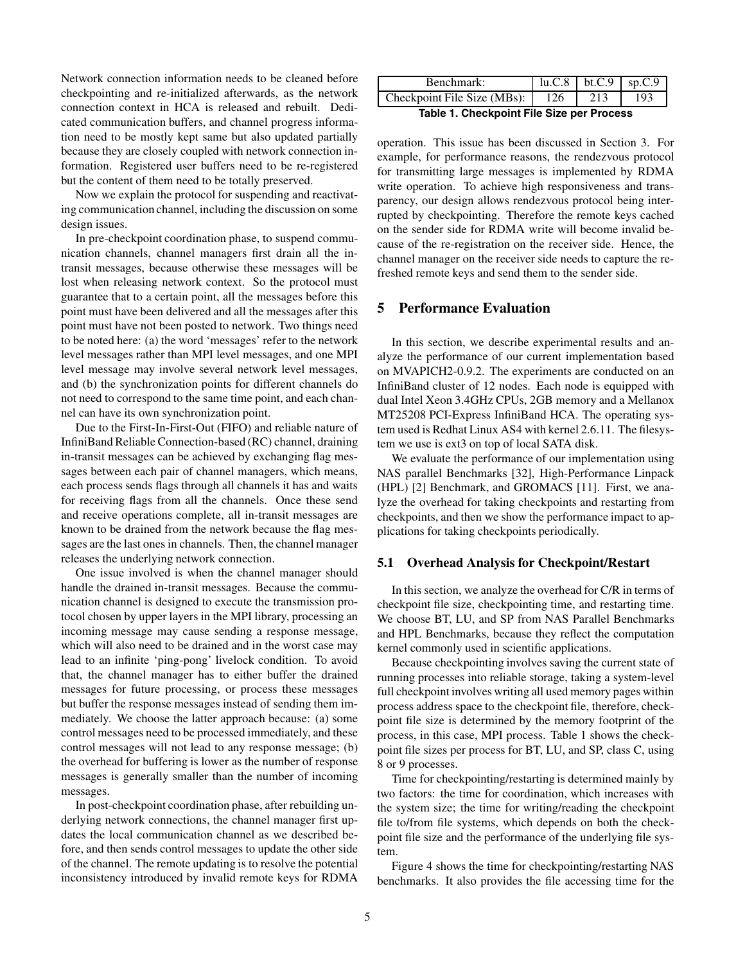Network connection information needs to be cleaned before checkpointing and re-initialized afterwards, as the network connection context in HCA is released and rebuilt. Dedicated communication buffers, and channel progress information need to be mostly kept same but also updated partially because they are closely coupled with network connection information. Registered user buffers need to be re-registered but the content of them need to be totally preserved.

Now we explain the protocol for suspending and reactivating communication channel, including the discussion on some design issues.

In pre-checkpoint coordination phase, to suspend communication channels, channel managers first drain all the intransit messages, because otherwise these messages will be lost when releasing network context. So the protocol must guarantee that to a certain point, all the messages before this point must have been delivered and all the messages after this point must have not been posted to network. Two things need to be noted here: (a) the word 'messages' refer to the network level messages rather than MPI level messages, and one MPI level message may involve several network level messages, and (b) the synchronization points for different channels do not need to correspond to the same time point, and each channel can have its own synchronization point.

Due to the First-In-First-Out (FIFO) and reliable nature of InfiniBand Reliable Connection-based (RC) channel, draining in-transit messages can be achieved by exchanging flag messages between each pair of channel managers, which means, each process sends flags through all channels it has and waits for receiving flags from all the channels. Once these send and receive operations complete, all in-transit messages are known to be drained from the network because the flag messages are the last ones in channels. Then, the channel manager releases the underlying network connection.

One issue involved is when the channel manager should handle the drained in-transit messages. Because the communication channel is designed to execute the transmission protocol chosen by upper layers in the MPI library, processing an incoming message may cause sending a response message, which will also need to be drained and in the worst case may lead to an infinite 'ping-pong' livelock condition. To avoid that, the channel manager has to either buffer the drained messages for future processing, or process these messages but buffer the response messages instead of sending them immediately. We choose the latter approach because: (a) some control messages need to be processed immediately, and these control messages will not lead to any response message; (b) the overhead for buffering is lower as the number of response messages is generally smaller than the number of incoming messages.

In post-checkpoint coordination phase, after rebuilding underlying network connections, the channel manager first updates the local communication channel as we described before, and then sends control messages to update the other side of the channel. The remote updating is to resolve the potential inconsistency introduced by invalid remote keys for RDMA

| Benchmark:                  |     | $ u.C.8 $ bt.C.9 $ sp.C.9 $ |  |
|-----------------------------|-----|-----------------------------|--|
| Checkpoint File Size (MBs): | 126 |                             |  |

**Table 1. Checkpoint File Size per Process**

operation. This issue has been discussed in Section 3. For example, for performance reasons, the rendezvous protocol for transmitting large messages is implemented by RDMA write operation. To achieve high responsiveness and transparency, our design allows rendezvous protocol being interrupted by checkpointing. Therefore the remote keys cached on the sender side for RDMA write will become invalid because of the re-registration on the receiver side. Hence, the channel manager on the receiver side needs to capture the refreshed remote keys and send them to the sender side.

## **5 Performance Evaluation**

In this section, we describe experimental results and analyze the performance of our current implementation based on MVAPICH2-0.9.2. The experiments are conducted on an InfiniBand cluster of 12 nodes. Each node is equipped with dual Intel Xeon 3.4GHz CPUs, 2GB memory and a Mellanox MT25208 PCI-Express InfiniBand HCA. The operating system used is Redhat Linux AS4 with kernel 2.6.11. The filesystem we use is ext3 on top of local SATA disk.

We evaluate the performance of our implementation using NAS parallel Benchmarks [32], High-Performance Linpack (HPL) [2] Benchmark, and GROMACS [11]. First, we analyze the overhead for taking checkpoints and restarting from checkpoints, and then we show the performance impact to applications for taking checkpoints periodically.

#### **5.1 Overhead Analysis for Checkpoint/Restart**

In this section, we analyze the overhead for C/R in terms of checkpoint file size, checkpointing time, and restarting time. We choose BT, LU, and SP from NAS Parallel Benchmarks and HPL Benchmarks, because they reflect the computation kernel commonly used in scientific applications.

Because checkpointing involves saving the current state of running processes into reliable storage, taking a system-level full checkpoint involves writing all used memory pages within process address space to the checkpoint file, therefore, checkpoint file size is determined by the memory footprint of the process, in this case, MPI process. Table 1 shows the checkpoint file sizes per process for BT, LU, and SP, class C, using 8 or 9 processes.

Time for checkpointing/restarting is determined mainly by two factors: the time for coordination, which increases with the system size; the time for writing/reading the checkpoint file to/from file systems, which depends on both the checkpoint file size and the performance of the underlying file system.

Figure 4 shows the time for checkpointing/restarting NAS benchmarks. It also provides the file accessing time for the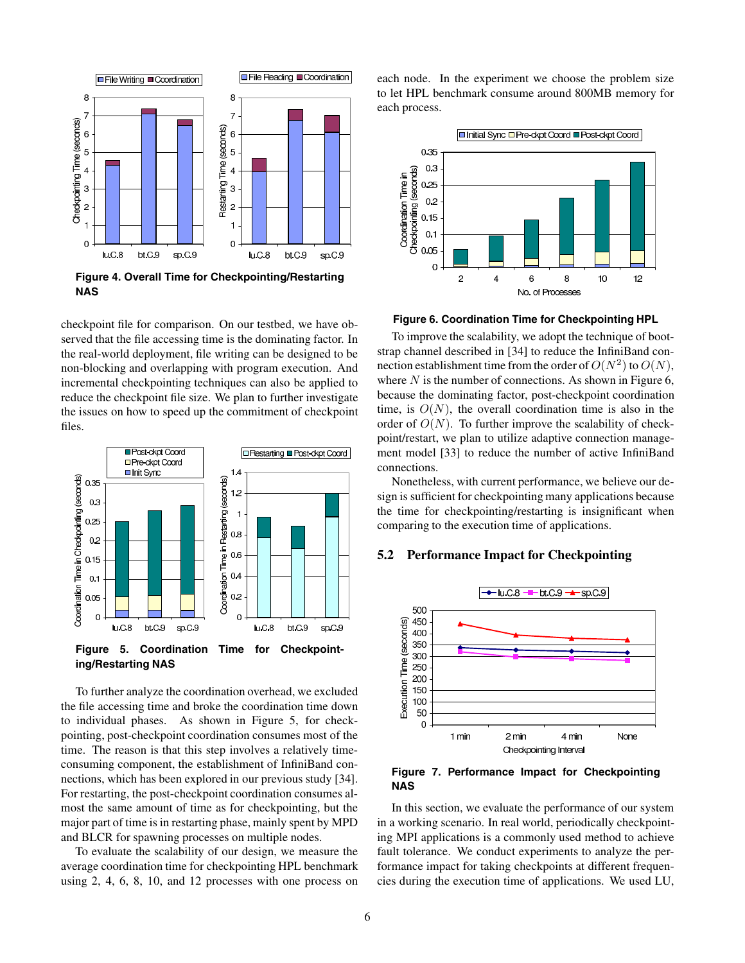

checkpoint file for comparison. On our testbed, we have observed that the file accessing time is the dominating factor. In the real-world deployment, file writing can be designed to be non-blocking and overlapping with program execution. And incremental checkpointing techniques can also be applied to reduce the checkpoint file size. We plan to further investigate the issues on how to speed up the commitment of checkpoint files.



To further analyze the coordination overhead, we excluded the file accessing time and broke the coordination time down to individual phases. As shown in Figure 5, for checkpointing, post-checkpoint coordination consumes most of the time. The reason is that this step involves a relatively timeconsuming component, the establishment of InfiniBand connections, which has been explored in our previous study [34]. For restarting, the post-checkpoint coordination consumes almost the same amount of time as for checkpointing, but the major part of time is in restarting phase, mainly spent by MPD and BLCR for spawning processes on multiple nodes.

To evaluate the scalability of our design, we measure the average coordination time for checkpointing HPL benchmark using 2, 4, 6, 8, 10, and 12 processes with one process on

each node. In the experiment we choose the problem size to let HPL benchmark consume around 800MB memory for each process.



**Figure 6. Coordination Time for Checkpointing HPL**

To improve the scalability, we adopt the technique of bootstrap channel described in [34] to reduce the InfiniBand connection establishment time from the order of  $O(N^2)$  to  $O(N)$ , where  $N$  is the number of connections. As shown in Figure 6, because the dominating factor, post-checkpoint coordination time, is  $O(N)$ , the overall coordination time is also in the order of  $O(N)$ . To further improve the scalability of checkpoint/restart, we plan to utilize adaptive connection management model [33] to reduce the number of active InfiniBand connections.

Nonetheless, with current performance, we believe our design is sufficient for checkpointing many applications because the time for checkpointing/restarting is insignificant when comparing to the execution time of applications.

## **5.2 Performance Impact for Checkpointing**



**Figure 7. Performance Impact for Checkpointing NAS**

In this section, we evaluate the performance of our system in a working scenario. In real world, periodically checkpointing MPI applications is a commonly used method to achieve fault tolerance. We conduct experiments to analyze the performance impact for taking checkpoints at different frequencies during the execution time of applications. We used LU,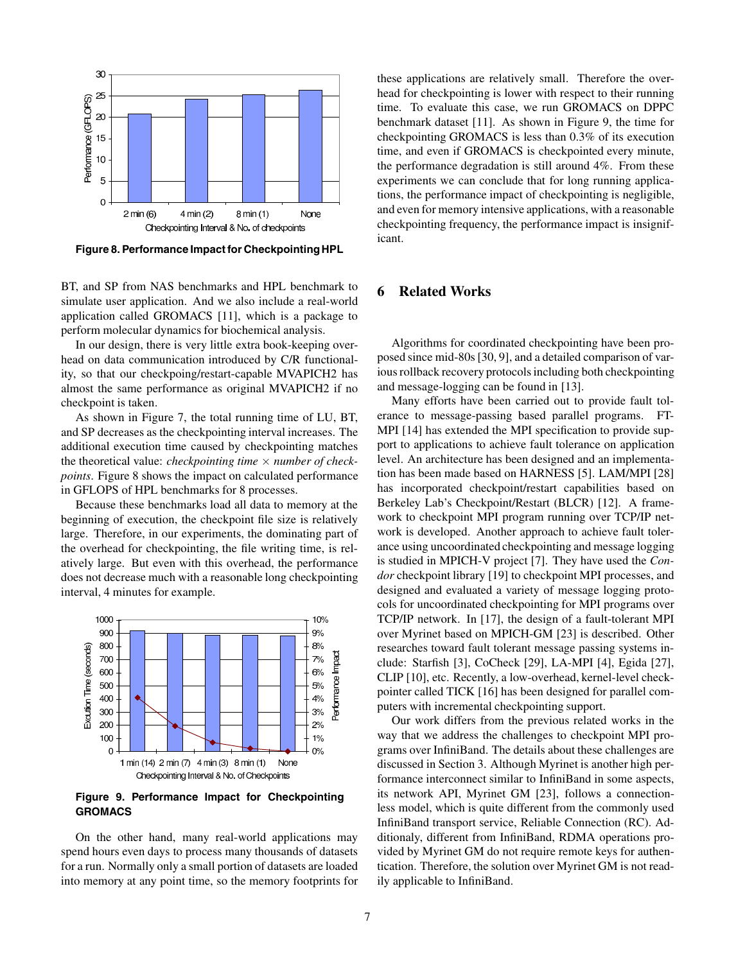

**Figure 8. Performance Impact for Checkpointing HPL**

BT, and SP from NAS benchmarks and HPL benchmark to simulate user application. And we also include a real-world application called GROMACS [11], which is a package to perform molecular dynamics for biochemical analysis.

In our design, there is very little extra book-keeping overhead on data communication introduced by C/R functionality, so that our checkpoing/restart-capable MVAPICH2 has almost the same performance as original MVAPICH2 if no checkpoint is taken.

As shown in Figure 7, the total running time of LU, BT, and SP decreases as the checkpointing interval increases. The additional execution time caused by checkpointing matches the theoretical value: *checkpointing time* × *number of checkpoints*. Figure 8 shows the impact on calculated performance in GFLOPS of HPL benchmarks for 8 processes.

Because these benchmarks load all data to memory at the beginning of execution, the checkpoint file size is relatively large. Therefore, in our experiments, the dominating part of the overhead for checkpointing, the file writing time, is relatively large. But even with this overhead, the performance does not decrease much with a reasonable long checkpointing interval, 4 minutes for example.



**Figure 9. Performance Impact for Checkpointing GROMACS**

On the other hand, many real-world applications may spend hours even days to process many thousands of datasets for a run. Normally only a small portion of datasets are loaded into memory at any point time, so the memory footprints for these applications are relatively small. Therefore the overhead for checkpointing is lower with respect to their running time. To evaluate this case, we run GROMACS on DPPC benchmark dataset [11]. As shown in Figure 9, the time for checkpointing GROMACS is less than 0.3% of its execution time, and even if GROMACS is checkpointed every minute, the performance degradation is still around 4%. From these experiments we can conclude that for long running applications, the performance impact of checkpointing is negligible, and even for memory intensive applications, with a reasonable checkpointing frequency, the performance impact is insignificant.

## **6 Related Works**

Algorithms for coordinated checkpointing have been proposed since mid-80s [30, 9], and a detailed comparison of various rollback recovery protocols including both checkpointing and message-logging can be found in [13].

Many efforts have been carried out to provide fault tolerance to message-passing based parallel programs. FT-MPI [14] has extended the MPI specification to provide support to applications to achieve fault tolerance on application level. An architecture has been designed and an implementation has been made based on HARNESS [5]. LAM/MPI [28] has incorporated checkpoint/restart capabilities based on Berkeley Lab's Checkpoint/Restart (BLCR) [12]. A framework to checkpoint MPI program running over TCP/IP network is developed. Another approach to achieve fault tolerance using uncoordinated checkpointing and message logging is studied in MPICH-V project [7]. They have used the *Condor* checkpoint library [19] to checkpoint MPI processes, and designed and evaluated a variety of message logging protocols for uncoordinated checkpointing for MPI programs over TCP/IP network. In [17], the design of a fault-tolerant MPI over Myrinet based on MPICH-GM [23] is described. Other researches toward fault tolerant message passing systems include: Starfish [3], CoCheck [29], LA-MPI [4], Egida [27], CLIP [10], etc. Recently, a low-overhead, kernel-level checkpointer called TICK [16] has been designed for parallel computers with incremental checkpointing support.

Our work differs from the previous related works in the way that we address the challenges to checkpoint MPI programs over InfiniBand. The details about these challenges are discussed in Section 3. Although Myrinet is another high performance interconnect similar to InfiniBand in some aspects, its network API, Myrinet GM [23], follows a connectionless model, which is quite different from the commonly used InfiniBand transport service, Reliable Connection (RC). Additionaly, different from InfiniBand, RDMA operations provided by Myrinet GM do not require remote keys for authentication. Therefore, the solution over Myrinet GM is not readily applicable to InfiniBand.